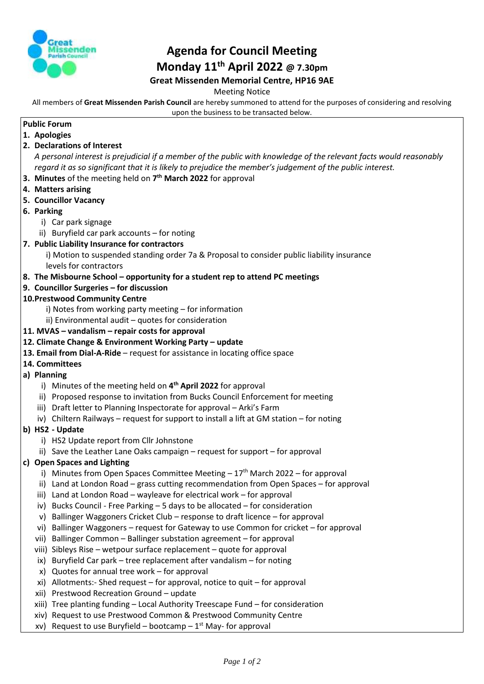

# **Agenda for Council Meeting Monday 11th April 2022 @ 7.30pm Great Missenden Memorial Centre, HP16 9AE**

Meeting Notice

All members of **Great Missenden Parish Council** are hereby summoned to attend for the purposes of considering and resolving upon the business to be transacted below.

# **Public Forum**

- **1. Apologies**
- **2. Declarations of Interest** *A personal interest is prejudicial if a member of the public with knowledge of the relevant facts would reasonably* 
	- *regard it as so significant that it is likely to prejudice the member's judgement of the public interest.*
- **3. Minutes** of the meeting held on **7 th March 2022** for approval
- **4. Matters arising**
- **5. Councillor Vacancy**
- **6. Parking** 
	- i) Car park signage
	- ii) Buryfield car park accounts for noting
- **7. Public Liability Insurance for contractors**

i) Motion to suspended standing order 7a & Proposal to consider public liability insurance levels for contractors

## **8. The Misbourne School – opportunity for a student rep to attend PC meetings**

**9. Councillor Surgeries – for discussion**

## **10.Prestwood Community Centre**

- i) Notes from working party meeting for information
- ii) Environmental audit quotes for consideration
- **11. MVAS – vandalism – repair costs for approval**

#### **12. Climate Change & Environment Working Party – update**

- **13. Email from Dial-A-Ride** request for assistance in locating office space
- **14. Committees**
- **a) Planning** 
	- i) Minutes of the meeting held on **4 th April 2022** for approval
	- ii) Proposed response to invitation from Bucks Council Enforcement for meeting
	- iii) Draft letter to Planning Inspectorate for approval Arki's Farm
	- iv) Chiltern Railways request for support to install a lift at GM station for noting
- **b) HS2 - Update**
	- i) HS2 Update report from Cllr Johnstone
	- ii) Save the Leather Lane Oaks campaign request for support for approval

#### **c) Open Spaces and Lighting**

- i) Minutes from Open Spaces Committee Meeting  $-17<sup>th</sup>$  March 2022 for approval
- ii) Land at London Road grass cutting recommendation from Open Spaces for approval
- iii) Land at London Road wayleave for electrical work for approval
- iv) Bucks Council Free Parking 5 days to be allocated for consideration
- v) Ballinger Waggoners Cricket Club response to draft licence for approval
- vi) Ballinger Waggoners request for Gateway to use Common for cricket for approval
- vii) Ballinger Common Ballinger substation agreement for approval
- viii) Sibleys Rise wetpour surface replacement quote for approval
- ix) Buryfield Car park tree replacement after vandalism for noting
- x) Quotes for annual tree work for approval
- xi) Allotments:- Shed request for approval, notice to quit for approval
- xii) Prestwood Recreation Ground update
- xiii) Tree planting funding Local Authority Treescape Fund for consideration
- xiv) Request to use Prestwood Common & Prestwood Community Centre
- xv) Request to use Buryfield bootcamp 1<sup>st</sup> May- for approval